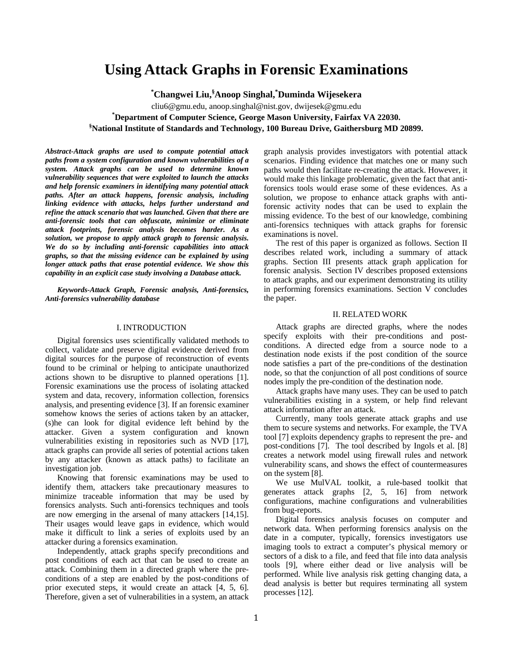# **Using Attack Graphs in Forensic Examinations**

**\* Changwei Liu,§ Anoop Singhal,\* Duminda Wijesekera** 

cliu6@gmu.edu, anoop.singhal@nist.gov, dwijesek@gmu.edu **\* Department of Computer Science, George Mason University, Fairfax VA 22030. § National Institute of Standards and Technology, 100 Bureau Drive, Gaithersburg MD 20899.** 

*Abstract-Attack graphs are used to compute potential attack paths from a system configuration and known vulnerabilities of a system. Attack graphs can be used to determine known vulnerability sequences that were exploited to launch the attacks and help forensic examiners in identifying many potential attack paths. After an attack happens, forensic analysis, including linking evidence with attacks, helps further understand and refine the attack scenario that was launched. Given that there are anti-forensic tools that can obfuscate, minimize or eliminate attack footprints, forensic analysis becomes harder. As a solution, we propose to apply attack graph to forensic analysis. We do so by including anti-forensic capabilities into attack graphs, so that the missing evidence can be explained by using longer attack paths that erase potential evidence. We show this capability in an explicit case study involving a Database attack.* 

*Keywords-Attack Graph, Forensic analysis, Anti-forensics, Anti-forensics vulnerability database* 

## I. INTRODUCTION

Digital forensics uses scientifically validated methods to collect, validate and preserve digital evidence derived from digital sources for the purpose of reconstruction of events found to be criminal or helping to anticipate unauthorized actions shown to be disruptive to planned operations [1]. Forensic examinations use the process of isolating attacked system and data, recovery, information collection, forensics analysis, and presenting evidence [3]. If an forensic examiner somehow knows the series of actions taken by an attacker, (s)he can look for digital evidence left behind by the attacker. Given a system configuration and known vulnerabilities existing in repositories such as NVD [17], attack graphs can provide all series of potential actions taken by any attacker (known as attack paths) to facilitate an investigation job.

Knowing that forensic examinations may be used to identify them, attackers take precautionary measures to minimize traceable information that may be used by forensics analysts. Such anti-forensics techniques and tools are now emerging in the arsenal of many attackers [14,15]. Their usages would leave gaps in evidence, which would make it difficult to link a series of exploits used by an attacker during a forensics examination.

Independently, attack graphs specify preconditions and post conditions of each act that can be used to create an attack. Combining them in a directed graph where the preconditions of a step are enabled by the post-conditions of prior executed steps, it would create an attack [4, 5, 6]. Therefore, given a set of vulnerabilities in a system, an attack

graph analysis provides investigators with potential attack scenarios. Finding evidence that matches one or many such paths would then facilitate re-creating the attack. However, it would make this linkage problematic, given the fact that antiforensics tools would erase some of these evidences. As a solution, we propose to enhance attack graphs with antiforensic activity nodes that can be used to explain the missing evidence. To the best of our knowledge, combining anti-forensics techniques with attack graphs for forensic examinations is novel.

The rest of this paper is organized as follows. Section II describes related work, including a summary of attack graphs. Section III presents attack graph application for forensic analysis. Section IV describes proposed extensions to attack graphs, and our experiment demonstrating its utility in performing forensics examinations. Section V concludes the paper.

#### II. RELATED WORK

Attack graphs are directed graphs, where the nodes specify exploits with their pre-conditions and postconditions. A directed edge from a source node to a destination node exists if the post condition of the source node satisfies a part of the pre-conditions of the destination node, so that the conjunction of all post conditions of source nodes imply the pre-condition of the destination node.

Attack graphs have many uses. They can be used to patch vulnerabilities existing in a system, or help find relevant attack information after an attack.

Currently, many tools generate attack graphs and use them to secure systems and networks. For example, the TVA tool [7] exploits dependency graphs to represent the pre- and post-conditions [7]. The tool described by Ingols et al. [8] creates a network model using firewall rules and network vulnerability scans, and shows the effect of countermeasures on the system [8].

We use MulVAL toolkit, a rule-based toolkit that generates attack graphs [2, 5, 16] from network configurations, machine configurations and vulnerabilities from bug-reports.

Digital forensics analysis focuses on computer and network data. When performing forensics analysis on the date in a computer, typically, forensics investigators use imaging tools to extract a computer's physical memory or sectors of a disk to a file, and feed that file into data analysis tools [9], where either dead or live analysis will be performed. While live analysis risk getting changing data, a dead analysis is better but requires terminating all system processes [12].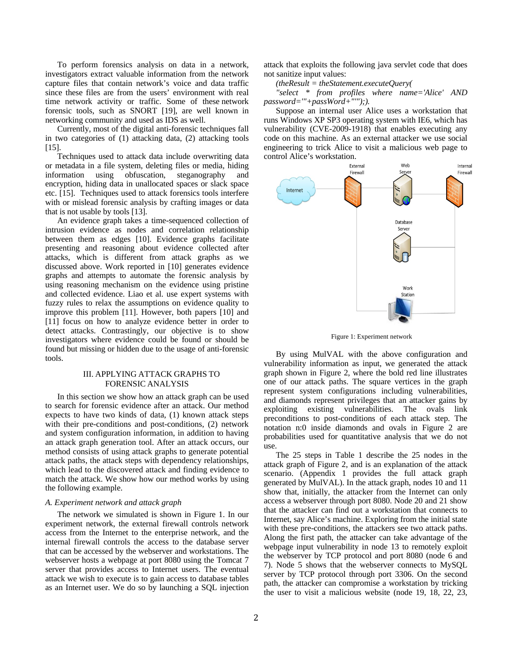To perform forensics analysis on data in a network, investigators extract valuable information from the network capture files that contain network's voice and data traffic since these files are from the users' environment with real time network activity or traffic. Some of these network forensic tools, such as SNORT [19], are well known in networking community and used as IDS as well.

Currently, most of the digital anti-forensic techniques fall in two categories of (1) attacking data, (2) attacking tools [15].

Techniques used to attack data include overwriting data or metadata in a file system, deleting files or media, hiding information using obfuscation, steganography and encryption, hiding data in unallocated spaces or slack space etc. [15]. Techniques used to attack forensics tools interfere with or mislead forensic analysis by crafting images or data that is not usable by tools [13].

An evidence graph takes a time-sequenced collection of intrusion evidence as nodes and correlation relationship between them as edges [10]. Evidence graphs facilitate presenting and reasoning about evidence collected after attacks, which is different from attack graphs as we discussed above. Work reported in [10] generates evidence graphs and attempts to automate the forensic analysis by using reasoning mechanism on the evidence using pristine and collected evidence. Liao et al. use expert systems with fuzzy rules to relax the assumptions on evidence quality to improve this problem [11]. However, both papers [10] and [11] focus on how to analyze evidence better in order to detect attacks. Contrastingly, our objective is to show investigators where evidence could be found or should be found but missing or hidden due to the usage of anti-forensic tools.

## III. APPLYING ATTACK GRAPHS TO FORENSIC ANALYSIS

In this section we show how an attack graph can be used to search for forensic evidence after an attack. Our method expects to have two kinds of data, (1) known attack steps with their pre-conditions and post-conditions, (2) network and system configuration information, in addition to having an attack graph generation tool. After an attack occurs, our method consists of using attack graphs to generate potential attack paths, the attack steps with dependency relationships, which lead to the discovered attack and finding evidence to match the attack. We show how our method works by using the following example.

#### *A. Experiment network and attack graph*

The network we simulated is shown in Figure 1. In our experiment network, the external firewall controls network access from the Internet to the enterprise network, and the internal firewall controls the access to the database server that can be accessed by the webserver and workstations. The webserver hosts a webpage at port 8080 using the Tomcat 7 server that provides access to Internet users. The eventual attack we wish to execute is to gain access to database tables as an Internet user. We do so by launching a SQL injection attack that exploits the following java servlet code that does not sanitize input values:

*(theResult = theStatement.executeQuery(* 

*"select \* from profiles where name='Alice' AND password='"+passWord+"'");).* 

Suppose an internal user Alice uses a workstation that runs Windows XP SP3 operating system with IE6, which has vulnerability (CVE-2009-1918) that enables executing any code on this machine. As an external attacker we use social engineering to trick Alice to visit a malicious web page to control Alice's workstation.



Figure 1: Experiment network

By using MulVAL with the above configuration and vulnerability information as input, we generated the attack graph shown in Figure 2, where the bold red line illustrates one of our attack paths. The square vertices in the graph represent system configurations including vulnerabilities, and diamonds represent privileges that an attacker gains by exploiting existing vulnerabilities. The ovals link preconditions to post-conditions of each attack step. The notation n:0 inside diamonds and ovals in Figure 2 are probabilities used for quantitative analysis that we do not use.

The 25 steps in Table 1 describe the 25 nodes in the attack graph of Figure 2, and is an explanation of the attack scenario. (Appendix 1 provides the full attack graph generated by MulVAL). In the attack graph, nodes 10 and 11 show that, initially, the attacker from the Internet can only access a webserver through port 8080. Node 20 and 21 show that the attacker can find out a workstation that connects to Internet, say Alice's machine. Exploring from the initial state with these pre-conditions, the attackers see two attack paths. Along the first path, the attacker can take advantage of the webpage input vulnerability in node 13 to remotely exploit the webserver by TCP protocol and port 8080 (node 6 and 7). Node 5 shows that the webserver connects to MySQL server by TCP protocol through port 3306. On the second path, the attacker can compromise a workstation by tricking the user to visit a malicious website (node 19, 18, 22, 23,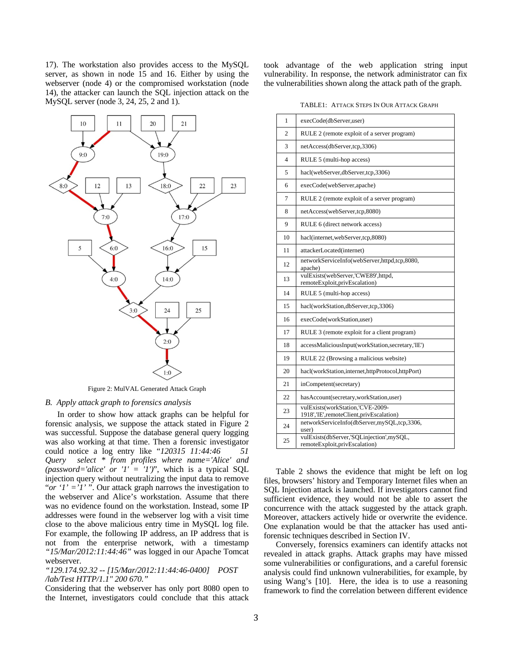17). The workstation also provides access to the MySQL server, as shown in node 15 and 16. Either by using the webserver (node 4) or the compromised workstation (node 14), the attacker can launch the SQL injection attack on the MySQL server (node 3, 24, 25, 2 and 1).



Figure 2: MulVAL Generated Attack Graph

#### *B. Apply attack graph to forensics analysis*

In order to show how attack graphs can be helpful for forensic analysis, we suppose the attack stated in Figure 2 was successful. Suppose the database general query logging was also working at that time. Then a forensic investigator could notice a log entry like "*120315 11:44:46 51 Query select \* from profiles where name='Alice' and (password='alice' or '1' = '1')*", which is a typical SQL injection query without neutralizing the input data to remove "*or '1' ='1'* ". Our attack graph narrows the investigation to the webserver and Alice's workstation. Assume that there was no evidence found on the workstation. Instead, some IP addresses were found in the webserver log with a visit time close to the above malicious entry time in MySQL log file. For example, the following IP address, an IP address that is not from the enterprise network, with a timestamp *"15/Mar/2012:11:44:46"* was logged in our Apache Tomcat webserver.

## *"129.174.92.32 -- [15/Mar/2012:11:44:46-0400] POST /lab/Test HTTP/1.1" 200 670."*

Considering that the webserver has only port 8080 open to the Internet, investigators could conclude that this attack took advantage of the web application string input vulnerability. In response, the network administrator can fix the vulnerabilities shown along the attack path of the graph.

TABLE1: ATTACK STEPS IN OUR ATTACK GRAPH

| 1              | execCode(dbServer,user)                                                     |
|----------------|-----------------------------------------------------------------------------|
| $\overline{2}$ | RULE 2 (remote exploit of a server program)                                 |
| 3              | netAccess(dbServer,tcp,3306)                                                |
| $\overline{4}$ | RULE 5 (multi-hop access)                                                   |
| 5              | hacl(webServer,dbServer,tcp,3306)                                           |
| 6              | execCode(webServer,apache)                                                  |
| 7              | RULE 2 (remote exploit of a server program)                                 |
| 8              | netAccess(webServer,tcp,8080)                                               |
| 9              | RULE 6 (direct network access)                                              |
| 10             | hacl(internet,webServer,tcp,8080)                                           |
| 11             | attackerLocated(internet)                                                   |
| 12             | networkServiceInfo(webServer,httpd,tcp,8080,<br>apache)                     |
| 13             | vulExists(webServer,'CWE89',httpd,<br>remoteExploit,privEscalation)         |
| 14             | RULE 5 (multi-hop access)                                                   |
| 15             | hacl(workStation,dbServer,tcp,3306)                                         |
| 16             | execCode(workStation,user)                                                  |
| 17             | RULE 3 (remote exploit for a client program)                                |
| 18             | accessMaliciousInput(workStation,secretary,'IE')                            |
| 19             | RULE 22 (Browsing a malicious website)                                      |
| 20             | hacl(workStation,internet,httpProtocol,httpPort)                            |
| 21             | inCompetent(secretary)                                                      |
| 22             | hasAccount(secretary,workStation,user)                                      |
| 23             | vulExists(workStation,'CVE-2009-<br>1918','IE',remoteClient,privEscalation) |
| 24             | networkServiceInfo(dbServer,mySQL,tcp,3306,<br>user)                        |
| 25             | vulExists(dbServer,'SQLinjection',mySQL,<br>remoteExploit,privEscalation)   |

Table 2 shows the evidence that might be left on log files, browsers' history and Temporary Internet files when an SQL Injection attack is launched. If investigators cannot find sufficient evidence, they would not be able to assert the concurrence with the attack suggested by the attack graph. Moreover, attackers actively hide or overwrite the evidence. One explanation would be that the attacker has used antiforensic techniques described in Section IV.

Conversely, forensics examiners can identify attacks not revealed in attack graphs. Attack graphs may have missed some vulnerabilities or configurations, and a careful forensic analysis could find unknown vulnerabilities, for example, by using Wang's [10]. Here, the idea is to use a reasoning framework to find the correlation between different evidence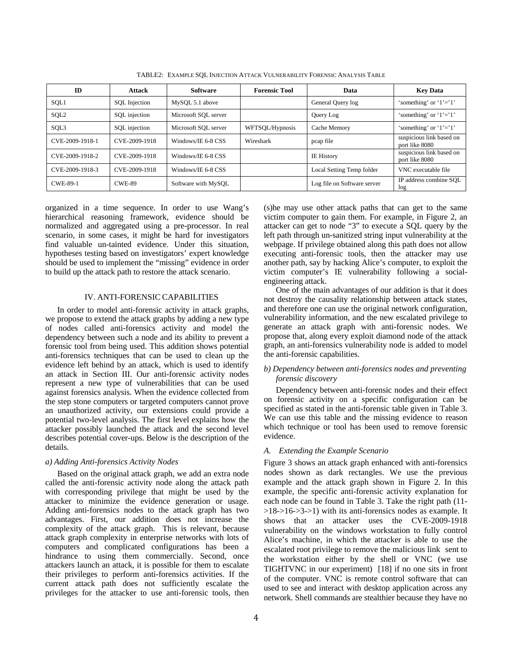| ID               | <b>Attack</b> | <b>Software</b>      | <b>Forensic Tool</b> | Data                        | <b>Key Data</b>                            |
|------------------|---------------|----------------------|----------------------|-----------------------------|--------------------------------------------|
| SQL1             | SQL Injection | MySQL 5.1 above      |                      | General Query log           | 'something' or $1' = 1'$                   |
| SQL <sub>2</sub> | SQL injection | Microsoft SQL server |                      | Query Log                   | 'something' or $1' = 1'$                   |
| SQL3             | SQL injection | Microsoft SOL server | WFTSQL/Hypnosis      | Cache Memory                | 'something' or ' $1' = 1$ '                |
| CVE-2009-1918-1  | CVE-2009-1918 | Windows/IE 6-8 CSS   | Wireshark            | pcap file                   | suspicious link based on<br>port like 8080 |
| CVE-2009-1918-2  | CVE-2009-1918 | Windows/IE 6-8 CSS   |                      | <b>IE History</b>           | suspicious link based on<br>port like 8080 |
| CVE-2009-1918-3  | CVE-2009-1918 | Windows/IE 6-8 CSS   |                      | Local Setting Temp folder   | VNC executable file                        |
| <b>CWE-89-1</b>  | <b>CWE-89</b> | Software with MySQL  |                      | Log file on Software server | IP address combine SOL<br>log              |

TABLE2: EXAMPLE SQL INJECTION ATTACK VULNERABILITY FORENSIC ANALYSIS TABLE

organized in a time sequence. In order to use Wang's hierarchical reasoning framework, evidence should be normalized and aggregated using a pre-processor. In real scenario, in some cases, it might be hard for investigators find valuable un-tainted evidence. Under this situation, hypotheses testing based on investigators' expert knowledge should be used to implement the "missing" evidence in order to build up the attack path to restore the attack scenario.

#### IV. ANTI-FORENSIC CAPABILITIES

In order to model anti-forensic activity in attack graphs, we propose to extend the attack graphs by adding a new type of nodes called anti-forensics activity and model the dependency between such a node and its ability to prevent a forensic tool from being used. This addition shows potential anti-forensics techniques that can be used to clean up the evidence left behind by an attack, which is used to identify an attack in Section III. Our anti-forensic activity nodes represent a new type of vulnerabilities that can be used against forensics analysis. When the evidence collected from the step stone computers or targeted computers cannot prove an unauthorized activity, our extensions could provide a potential two-level analysis. The first level explains how the attacker possibly launched the attack and the second level describes potential cover-ups. Below is the description of the details.

#### *a) Adding Anti-forensics Activity Nodes*

Based on the original attack graph, we add an extra node called the anti-forensic activity node along the attack path with corresponding privilege that might be used by the attacker to minimize the evidence generation or usage. Adding anti-forensics nodes to the attack graph has two advantages. First, our addition does not increase the complexity of the attack graph. This is relevant, because attack graph complexity in enterprise networks with lots of computers and complicated configurations has been a hindrance to using them commercially. Second, once attackers launch an attack, it is possible for them to escalate their privileges to perform anti-forensics activities. If the current attack path does not sufficiently escalate the privileges for the attacker to use anti-forensic tools, then

(s)he may use other attack paths that can get to the same victim computer to gain them. For example, in Figure 2, an attacker can get to node "3" to execute a SQL query by the left path through un-sanitized string input vulnerability at the webpage. If privilege obtained along this path does not allow executing anti-forensic tools, then the attacker may use another path, say by hacking Alice's computer, to exploit the victim computer's IE vulnerability following a socialengineering attack.

One of the main advantages of our addition is that it does not destroy the causality relationship between attack states, and therefore one can use the original network configuration, vulnerability information, and the new escalated privilege to generate an attack graph with anti-forensic nodes. We propose that, along every exploit diamond node of the attack graph, an anti-forensics vulnerability node is added to model the anti-forensic capabilities.

## *b) Dependency between anti-forensics nodes and preventing forensic discovery*

Dependency between anti-forensic nodes and their effect on forensic activity on a specific configuration can be specified as stated in the anti-forensic table given in Table 3. We can use this table and the missing evidence to reason which technique or tool has been used to remove forensic evidence.

## *A. Extending the Example Scenario*

Figure 3 shows an attack graph enhanced with anti-forensics nodes shown as dark rectangles. We use the previous example and the attack graph shown in Figure 2. In this example, the specific anti-forensic activity explanation for each node can be found in Table 3. Take the right path (11-  $>18->16->3-1$ ) with its anti-forensics nodes as example. It shows that an attacker uses the CVE-2009-1918 vulnerability on the windows workstation to fully control Alice's machine, in which the attacker is able to use the escalated root privilege to remove the malicious link sent to the workstation either by the shell or VNC (we use TIGHTVNC in our experiment) [18] if no one sits in front of the computer. VNC is remote control software that can used to see and interact with desktop application across any network. Shell commands are stealthier because they have no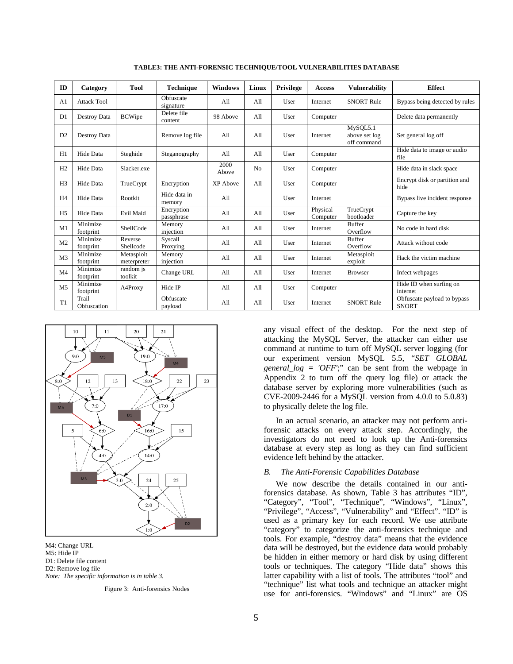| ID             | Category              | <b>Tool</b>               | <b>Technique</b>         | <b>Windows</b> | Linux | Privilege | Access               | <b>Vulnerability</b>                     | <b>Effect</b>                               |
|----------------|-----------------------|---------------------------|--------------------------|----------------|-------|-----------|----------------------|------------------------------------------|---------------------------------------------|
| A <sub>1</sub> | <b>Attack Tool</b>    |                           | Obfuscate<br>signature   | All            | A11   | User      | Internet             | <b>SNORT Rule</b>                        | Bypass being detected by rules              |
| D <sub>1</sub> | Destroy Data          | <b>BCWipe</b>             | Delete file<br>content   | 98 Above       | A11   | User      | Computer             |                                          | Delete data permanently                     |
| D <sub>2</sub> | Destroy Data          |                           | Remove log file          | A11            | A11   | User      | Internet             | MySQL5.1<br>above set log<br>off command | Set general log off                         |
| H1             | Hide Data             | Steghide                  | Steganography            | A11            | A11   | User      | Computer             |                                          | Hide data to image or audio<br>file         |
| H2             | Hide Data             | Slacker.exe               |                          | 2000<br>Above  | No    | User      | Computer             |                                          | Hide data in slack space                    |
| H <sub>3</sub> | Hide Data             | TrueCrypt                 | Encryption               | XP Above       | A11   | User      | Computer             |                                          | Encrypt disk or partition and<br>hide       |
| H <sub>4</sub> | Hide Data             | Rootkit                   | Hide data in<br>memory   | All            |       | User      | Internet             |                                          | Bypass live incident response               |
| H <sub>5</sub> | Hide Data             | Evil Maid                 | Encryption<br>passphrase | All            | A11   | User      | Physical<br>Computer | TrueCrypt<br>bootloader                  | Capture the key                             |
| M1             | Minimize<br>footprint | ShellCode                 | Memory<br>injection      | A11            | A11   | User      | Internet             | <b>Buffer</b><br>Overflow                | No code in hard disk                        |
| M <sub>2</sub> | Minimize<br>footprint | Reverse<br>Shellcode      | Syscall<br>Proxying      | All            | A11   | User      | Internet             | <b>Buffer</b><br>Overflow                | Attack without code                         |
| M <sub>3</sub> | Minimize<br>footprint | Metasploit<br>meterpreter | Memory<br>injection      | A11            | A11   | User      | Internet             | Metasploit<br>exploit                    | Hack the victim machine                     |
| M <sub>4</sub> | Minimize<br>footprint | random is<br>toolkit      | Change URL               | All            | A11   | User      | Internet             | <b>Browser</b>                           | Infect webpages                             |
| M <sub>5</sub> | Minimize<br>footprint | A4Proxy                   | Hide IP                  | A11            | A11   | User      | Computer             |                                          | Hide ID when surfing on<br>internet         |
| T1             | Trail<br>Obfuscation  |                           | Obfuscate<br>payload     | A11            | A11   | User      | Internet             | <b>SNORT Rule</b>                        | Obfuscate payload to bypass<br><b>SNORT</b> |

**TABLE3: THE ANTI-FORENSIC TECHNIQUE/TOOL VULNERABILITIES DATABASE** 



M4: Change URL M5: Hide IP D1: Delete file content D2: Remove log file *Note: The specific information is in table 3.* 

Figure 3: Anti-forensics Nodes

any visual effect of the desktop. For the next step of attacking the MySQL Server, the attacker can either use command at runtime to turn off MySQL server logging (for our experiment version MySQL 5.5, "*SET GLOBAL general\_log = 'OFF'*;" can be sent from the webpage in Appendix 2 to turn off the query log file) or attack the database server by exploring more vulnerabilities (such as CVE-2009-2446 for a MySQL version from 4.0.0 to 5.0.83) to physically delete the log file.

In an actual scenario, an attacker may not perform antiforensic attacks on every attack step. Accordingly, the investigators do not need to look up the Anti-forensics database at every step as long as they can find sufficient evidence left behind by the attacker.

## *B. The Anti-Forensic Capabilities Database*

We now describe the details contained in our antiforensics database. As shown, Table 3 has attributes "ID", "Category", "Tool", "Technique", "Windows", "Linux", "Privilege", "Access", "Vulnerability" and "Effect". "ID" is used as a primary key for each record. We use attribute "category" to categorize the anti-forensics technique and tools. For example, "destroy data" means that the evidence data will be destroyed, but the evidence data would probably be hidden in either memory or hard disk by using different tools or techniques. The category "Hide data" shows this latter capability with a list of tools. The attributes "tool" and "technique" list what tools and technique an attacker might use for anti-forensics. "Windows" and "Linux" are OS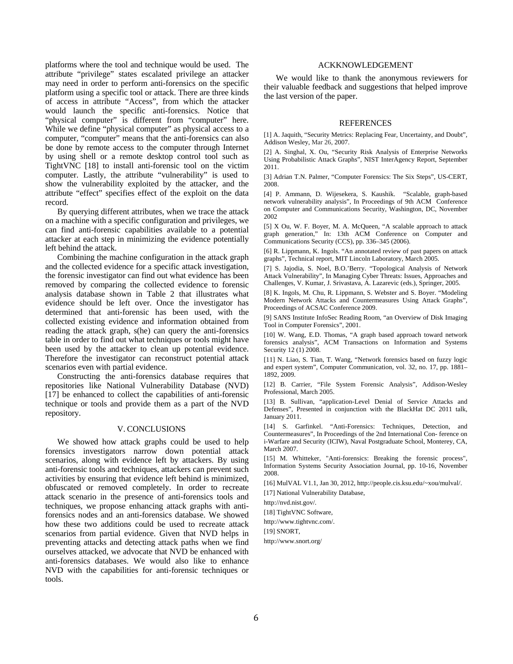platforms where the tool and technique would be used. The attribute "privilege" states escalated privilege an attacker may need in order to perform anti-forensics on the specific platform using a specific tool or attack. There are three kinds of access in attribute "Access", from which the attacker would launch the specific anti-forensics. Notice that "physical computer" is different from "computer" here. While we define "physical computer" as physical access to a computer, "computer" means that the anti-forensics can also be done by remote access to the computer through Internet by using shell or a remote desktop control tool such as TightVNC [18] to install anti-forensic tool on the victim computer. Lastly, the attribute "vulnerability" is used to show the vulnerability exploited by the attacker, and the attribute "effect" specifies effect of the exploit on the data record.

By querying different attributes, when we trace the attack on a machine with a specific configuration and privileges, we can find anti-forensic capabilities available to a potential attacker at each step in minimizing the evidence potentially left behind the attack.

Combining the machine configuration in the attack graph and the collected evidence for a specific attack investigation, the forensic investigator can find out what evidence has been removed by comparing the collected evidence to forensic analysis database shown in Table 2 that illustrates what evidence should be left over. Once the investigator has determined that anti-forensic has been used, with the collected existing evidence and information obtained from reading the attack graph, s(he) can query the anti-forensics table in order to find out what techniques or tools might have been used by the attacker to clean up potential evidence. Therefore the investigator can reconstruct potential attack scenarios even with partial evidence.

Constructing the anti-forensics database requires that repositories like National Vulnerability Database (NVD) [17] be enhanced to collect the capabilities of anti-forensic technique or tools and provide them as a part of the NVD repository.

#### V. CONCLUSIONS

We showed how attack graphs could be used to help forensics investigators narrow down potential attack scenarios, along with evidence left by attackers. By using anti-forensic tools and techniques, attackers can prevent such activities by ensuring that evidence left behind is minimized, obfuscated or removed completely. In order to recreate attack scenario in the presence of anti-forensics tools and techniques, we propose enhancing attack graphs with antiforensics nodes and an anti-forensics database. We showed how these two additions could be used to recreate attack scenarios from partial evidence. Given that NVD helps in preventing attacks and detecting attack paths when we find ourselves attacked, we advocate that NVD be enhanced with anti-forensics databases. We would also like to enhance NVD with the capabilities for anti-forensic techniques or tools.

## ACKKNOWLEDGEMENT

We would like to thank the anonymous reviewers for their valuable feedback and suggestions that helped improve the last version of the paper.

#### REFERENCES

[1] A. Jaquith, "Security Metrics: Replacing Fear, Uncertainty, and Doubt", Addison Wesley, Mar 26, 2007.

[2] A. Singhal, X. Ou, "Security Risk Analysis of Enterprise Networks Using Probabilistic Attack Graphs", NIST InterAgency Report, September 2011.

[3] Adrian T.N. Palmer, "Computer Forensics: The Six Steps", US-CERT, 2008.

[4] P. Ammann, D. Wijesekera, S. Kaushik. "Scalable, graph-based network vulnerability analysis", In Proceedings of 9th ACM Conference on Computer and Communications Security, Washington, DC, November 2002

[5] X Ou, W. F. Boyer, M. A. McQueen, "A scalable approach to attack graph generation," In: 13th ACM Conference on Computer and Communications Security (CCS), pp. 336–345 (2006).

[6] R. Lippmann, K. Ingols. "An annotated review of past papers on attack graphs", Technical report, MIT Lincoln Laboratory, March 2005.

[7] S. Jajodia, S. Noel, B.O.'Berry. "Topological Analysis of Network Attack Vulnerability", In Managing Cyber Threats: Issues, Approaches and Challenges, V. Kumar, J. Srivastava, A. Lazarevic (eds.), Springer, 2005.

[8] K. Ingols, M. Chu, R. Lippmann, S. Webster and S. Boyer. "Modeling Modern Network Attacks and Countermeasures Using Attack Graphs", Proceedings of ACSAC Conference 2009.

[9] SANS Institute InfoSec Reading Room, "an Overview of Disk Imaging Tool in Computer Forensics", 2001.

[10] W. Wang, E.D. Thomas, "A graph based approach toward network forensics analysis", ACM Transactions on Information and Systems Security 12 (1) 2008.

[11] N. Liao, S. Tian, T. Wang, "Network forensics based on fuzzy logic and expert system", Computer Communication, vol. 32, no. 17, pp. 1881– 1892, 2009.

[12] B. Carrier, "File System Forensic Analysis", Addison-Wesley Professional, March 2005.

[13] B. Sullivan, "application-Level Denial of Service Attacks and Defenses", Presented in conjunction with the BlackHat DC 2011 talk, January 2011.

[14] S. Garfinkel. "Anti-Forensics: Techniques, Detection, and Countermeasures", In Proceedings of the 2nd International Con- ference on i-Warfare and Security (ICIW), Naval Postgraduate School, Monterey, CA, March 2007.

[15] M. Whitteker, "Anti-forensics: Breaking the forensic process", Information Systems Security Association Journal, pp. 10-16, November 2008.

[16] MulVAL V1.1, Jan 30, 2012, http://people.cis.ksu.edu/~xou/mulval/.

[17] National Vulnerability Database,

[http://nvd.nist.gov/.](http://nvd.nist.gov/)

[18] TightVNC Software,

http://www.tightvnc.com/.

[19] SNORT,

http://www.snort.org/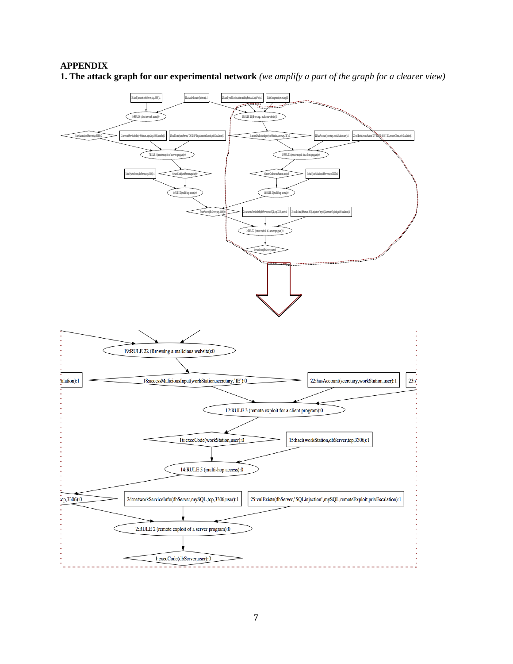## **APPENDIX**

**1. The attack graph for our experimental network** *(we amplify a part of the graph for a clearer view)*